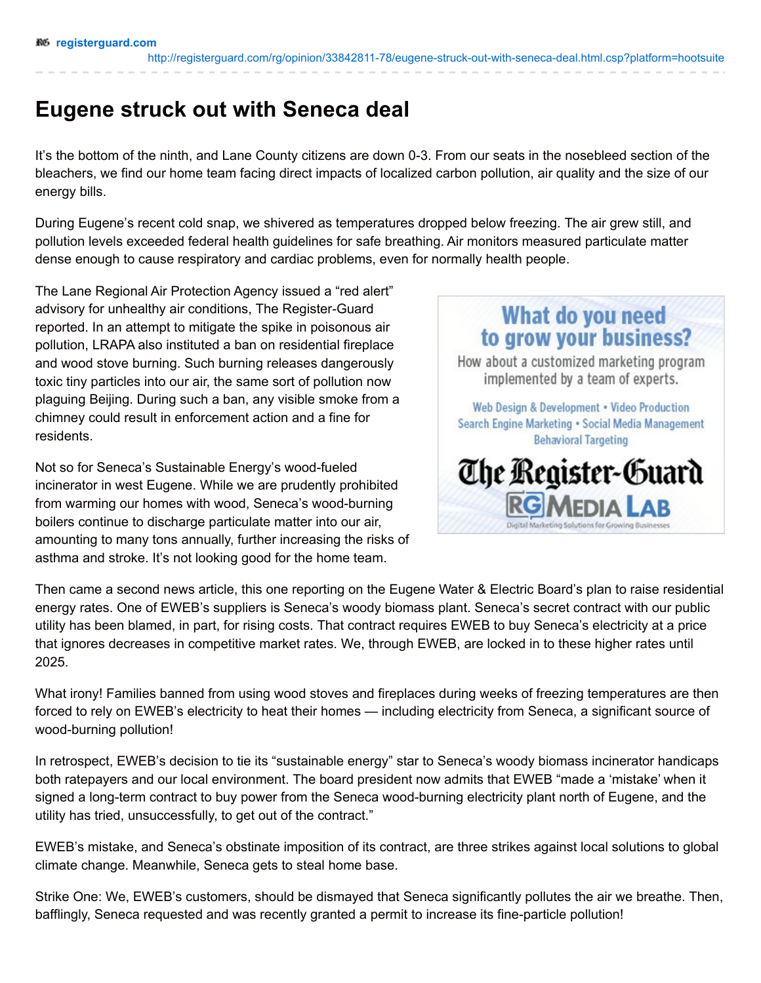<http://registerguard.com/rg/opinion/33842811-78/eugene-struck-out-with-seneca-deal.html.csp?platform=hootsuite>

## **Eugene struck out with Seneca deal**

It's the bottom of the ninth, and Lane County citizens are down 0-3. From our seats in the nosebleed section of the bleachers, we find our home team facing direct impacts of localized carbon pollution, air quality and the size of our energy bills.

During Eugene's recent cold snap, we shivered as temperatures dropped below freezing. The air grew still, and pollution levels exceeded federal health guidelines for safe breathing. Air monitors measured particulate matter dense enough to cause respiratory and cardiac problems, even for normally health people.

The Lane Regional Air Protection Agency issued a "red alert" advisory for unhealthy air conditions, The Register-Guard reported. In an attempt to mitigate the spike in poisonous air pollution, LRAPA also instituted a ban on residential fireplace and wood stove burning. Such burning releases dangerously toxic tiny particles into our air, the same sort of pollution now plaguing Beijing. During such a ban, any visible smoke from a chimney could result in enforcement action and a fine for residents.

Not so for Seneca's Sustainable Energy's wood-fueled incinerator in west Eugene. While we are prudently prohibited from warming our homes with wood, Seneca's wood-burning boilers continue to discharge particulate matter into our air, amounting to many tons annually, further increasing the risks of asthma and stroke. It's not looking good for the home team.



Then came a second news article, this one reporting on the Eugene Water & Electric Board's plan to raise residential energy rates. One of EWEB's suppliers is Seneca's woody biomass plant. Seneca's secret contract with our public utility has been blamed, in part, for rising costs. That contract requires EWEB to buy Seneca's electricity at a price that ignores decreases in competitive market rates. We, through EWEB, are locked in to these higher rates until 2025.

What irony! Families banned from using wood stoves and fireplaces during weeks of freezing temperatures are then forced to rely on EWEB's electricity to heat their homes — including electricity from Seneca, a significant source of wood-burning pollution!

In retrospect, EWEB's decision to tie its "sustainable energy" star to Seneca's woody biomass incinerator handicaps both ratepayers and our local environment. The board president now admits that EWEB "made a 'mistake' when it signed a long-term contract to buy power from the Seneca wood-burning electricity plant north of Eugene, and the utility has tried, unsuccessfully, to get out of the contract."

EWEB's mistake, and Seneca's obstinate imposition of its contract, are three strikes against local solutions to global climate change. Meanwhile, Seneca gets to steal home base.

Strike One: We, EWEB's customers, should be dismayed that Seneca significantly pollutes the air we breathe. Then, bafflingly, Seneca requested and was recently granted a permit to increase its fine-particle pollution!